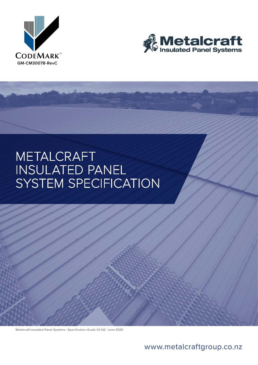



# METALCRAFT<br>INSULATED PANEL<br>SYSTEM SPECIFICATION

Metalcraft Insulated Panel Systems I Specification Guide V2 NZ I June 2020

# [www.metalcraftgroup.co.nz](http://www.metalcraftgroup.co.nz)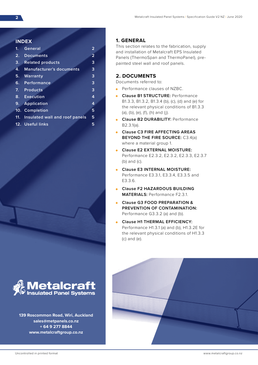### **INDEX**

| $\mathbf{1}$ | <b>General</b>                  | 2              |
|--------------|---------------------------------|----------------|
| 2.           | <b>Documents</b>                | $\overline{2}$ |
| 3.           | <b>Related products</b>         | 3              |
| 4.           | <b>Manufacturer's documents</b> | 3              |
| 5.           | Warranty                        | 3              |
| 6.           | Performance                     | 3              |
|              | 7. Products                     | 3              |
| 8.           | Execution                       | 4              |
|              | 9. Application                  | 4              |
|              | 10. Completion                  | 5              |
| 11.          | Insulated wall and roof panels  | 5              |
|              | 12. Useful links                | 5              |



**139 Roscommon Road, Wiri, Auckland sales@metpanels.co.nz + 64 9 277 8844 www.metalcraftgroup.co.nz**

# **1. GENERAL**

This section relates to the fabrication, supply and installation of Metalcraft EPS Insulated Panels (ThermoSpan and ThermoPanel), prepainted steel wall and roof panels.

# **2. DOCUMENTS**

Documents referred to:

- Performance clauses of NZBC.
- **Clause B1 STRUCTURE:** Performance B1.3.3, B1.3.2, B1.3.4 (b), (c), (d) and (e) for the relevant physical conditions of B1.3.3 (a), (b), (e), (f), (h) and (j).
- **Clause B2 DURABILITY:** Performance B2.3.1(a).
- **Clause C3 FIRE AFFECTING AREAS BEYOND THE FIRE SOURCE:** C3.4(a) where a material group 1.
- **Clause E2 EXTERNAL MOISTURE:** Performance E2.3.2, E2.3.2, E2.3.3, E2.3.7 (b) and (c).
- **Clause E3 INTERNAL MOISTURE:** Performance E3.3.1, E3.3.4, E3.3.5 and E3.3.6.
- **Clause F2 HAZARDOUS BUILDING MATERIALS:** Performance F2.3.1.
- **Clause G3 FOOD PREPARATION & PREVENTION OF CONTAMINATION:**  Performance G3.3.2 (a) and (b).
- **Clause H1 THERMAL EFFICIENCY:**  Performance H1.3.1 (a) and (b), H1.3.2E for the relevant physical conditions of H1.3.3 (c) and (e).

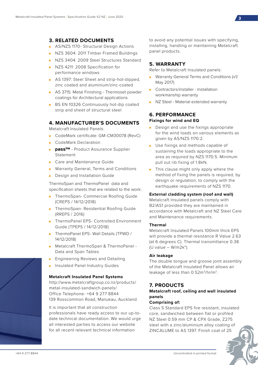# **3. RELATED DOCUMENTS**

- AS/NZS 1170- Structural Design Actions
- NZS 3604: 2011 Timber Framed Buildings
- NZS 3404: 2009 Steel Structures Standard
- NZS 4211: 2008 Specification for performance windows
- AS 1397: Steel Sheet and strip-hot-dipped, zinc coated and aluminium/zinc-coated
- AS 3715: Metal Finishing Thermoset powder coatings for Architectural applications
- BS EN 10326 Continuously hot-dip coated strip and sheet of structural steel

# **4. MANUFACTURER'S DOCUMENTS**

Metalcraft Insulated Panels:

- CodeMark certificate: GM-CM30078 (RevC)
- CodeMark Declaration
- **pass™** Product Assurance Supplier Statement
- Care and Maintenance Guide
- Warranty General, Terms and Conditions
- Design and Installation Guide

ThermoSpan and ThermoPanel data and specification sheets that are related to the work:

- ThermoSpan- Commercial Roofing Guide (CREPS / 14/12/2018)
- ThermoSpan- Residential Roofing Guide (RREPS / 2016)
- ThermoPanel EPS- Controlled Environment Guide (TPEPS / 14/12/2018)
- ThermoPanel EPS- Wall Details (TPWD / 14/12/2018)
- Metalcraft ThermoSpan & ThermoPanel Data and Span Tables
- Engineering Reviews and Detailing
- Insulated Panel Industry Guides

### **Metalcraft Insulated Panel Systems**

http://www.metalcraftgroup.co.nz/products/ metal-insulated-sandwich-panels/ Office Telephone- +64 9 277 8844 139 Rosscommon Road, Manukau, Auckland

It is important that all construction professionals have ready access to our up-todate technical documentation. We would urge all interested parties to access our website for all recent relevant technical information

to avoid any potential issues with specifying, installing, handling or maintaining Metalcraft panel products.

# **5. WARRANTY**

Refer to Metalcraft Insulated panels:

- Warranty General Terms and Conditions (v1/ May 2017)
- Contractors/installer Installation workmanship warranty
- NZ Steel Material extended warranty

# **6. PERFORMANCE Fixings for wind and EQ**

- Design and use the fixings appropriate for the wind loads on various elements as given by AS/NZS 1170.2.
- Use fixings and methods capable of sustaining the loads appropriate to the area as required by NZS 1170.5. Minimum pull out rib fixing of 1.8kN.
- This clause might only apply where the method of fixing the panels is required, by design or regulation, to comply with the earthquake requirements of NZS 1170.

# **External cladding system (roof and wall)**

Metalcraft Insulated panels comply with B2/AS1 provided they are maintained in accordance with Metalcraft and NZ Steel Care and Maintenance requirements.

### **Thermal**

Metalcraft Insulated Panels 100mm thick EPS will provide a thermal resistance R Value 2.63 (at 6 degrees C). Thermal transmittance 0.38 (U value –  $W/m2k^{\circ}$ ).

### **Air leakage**

The double tongue and groove joint assembly of the Metalcraft Insulated Panel allows air leakage of less than 0.52m<sup>3</sup>/hr/m<sup>2</sup>.

# **7. PRODUCTS**

# **Metalcraft roof, ceiling and wall insulated panels**

### **Comprising of:**

Class S Standard EPS fire resistant, insulated core, sandwiched between flat or profiled NZ Steel 0.59 mm CP & CPX Grade, Z275 steel with a zinc/aluminium alloy coating of ZINCALUME to AS 1397. Finish coat of 25

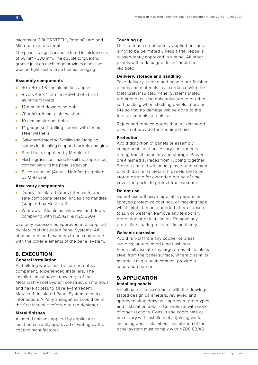microns of COLORSTEEL®, PermaGuard and Microban antibacterial.

The panels range is manufactured in thicknesses of 50 mm - 300 mm. The double tongue and groove joint on each edge provides a positive weathertight seal with no thermal bridging.

### **Assembly components**

- 40 x 40 x 1.6 mm aluminium angles
- Rivets 4.8 x 14.3 mm (ASM63.66) blind aluminium rivets
- 12 mm hold down base bolts
- $\bullet$  70 x 50 x 5 mm plate washers
- 10 mm mushroom bolts
- 14 gauge self-drilling screws with 25 mm steel washers
- Galvanised steel self-drilling self-tapping screws for locating support brackets and girts
- Steel bolts supplied by Metalcraft
- Flashings (custom made to suit the application) compatible with the panel selection
- Silicon sealant (Acrylic Holdfast) supplied by Metalcraft

### **Accessory components**

- Doors Insulated doors fitted with food safe composite plastic hinges and handles (supplied by Metalcraft)
- Windows Aluminium windows and doors complying with NZS4211 & NZS 3504

Use only accessories approved and supplied by Metalcraft Insulated Panel Systems. All attachments and fasteners to be compatible with the other elements of the panel system.

# **8. EXECUTION**

### **General installation**

All building work must be carried out by competent, experienced installers. The installers must have knowledge of the Metalcraft Panel System construction methods and have access to all relevant/recent Metalcraft Insulated Panel System technical information. All/any ambiguities should be in the first instance referred to the designer.

### **Metal finishes**

All metal finishes applied by applicators must be currently approved in writing by the coating manufacturer.

### **Touching up**

On-site touch up of factory-applied finishes is not to be permitted unless a trial repair is subsequently approved in writing. All other panels with a damaged finish should be replaced.

### **Delivery, storage and handling**

Take delivery, unload and handle pre-finished panels and materials in accordance with the Metalcraft Insulated Panel Systems stated requirements. Use only polystyrene or other soft packing when stacking panels. Store on site so that no damage will be done to the forms, materials, or finishes.

Reject and replace goods that are damaged or will not provide the required finish.

### **Protection**

Avoid distortion of panels or assembly components and accessory components during transit, handling and storage. Prevent pre-finished surfaces from rubbing together. Prevent contact with mud, plaster and cement, or with dissimilar metals. If panels are to be stored on site for extended period of time cover the packs to protect from weather.

### **Do not use**

Do not use adhesive tape, film, papers, or sprayed protective coatings, or masking tape, which might become bonded after exposure to sun or weather. Remove any temporary protection after installation. Remove any protective coating residues immediately.

### **Galvanic corrosion**

Avoid run-off from any copper or brass systems, or unpainted lead flashings. Electrically isolate any large areas of stainless steel from the panel surface. Where dissimilar materials might be in contact, provide a separation barrier.

# **9. APPLICATION**

### **Installing panels**

Install panels in accordance with the drawings, stated design parameters, reviewed and approved shop drawings, approved prototypes and installation details. Co-ordinate with work of other sections. Consult and coordinate as necessary with installers of adjoining work, including door installations. Installation of the panel system must comply with NZBC E2/AS1.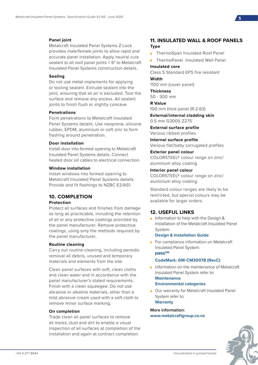### **Panel joint**

Metalcraft Insulated Panel Systems Z-Lock provides male/female joints to allow rapid and accurate panel installation. Apply neutral cure sealant to all roof panel joints < 6° to Metalcraft Insulated Panel Systems construction details.

### **Sealing**

Do not use metal implements for applying or tooling sealant. Extrude sealant into the joint, ensuring that all air is excluded. Tool the surface and remove any excess. All sealant joints to finish flush or slightly concave.

### **Penetrations**

Form penetrations to Metalcraft Insulated Panel Systems details. Use neoprene, silicone rubber, EPDM, aluminium or soft zinc to form flashing around penetration.

### **Door installation**

Install door into formed opening to Metalcraft Insulated Panel Systems details. Connect heated door sill cables to electrical connection.

# **Window installation**

Install windows into formed opening to Metalcraft Insulated Panel Systems details. Provide and fit flashings to NZBC E2/AS1.

# **10. COMPLETION**

### **Protection**

Protect all surfaces and finishes from damage as long as practicable, including the retention of all or any protective coatings provided by the panel manufacturer. Remove protective coatings, using only the methods required by the panel manufacturer.

### **Routine cleaning**

Carry out routine cleaning, including periodic removal all debris, unused and temporary materials and elements from the site.

Clean panel surfaces with soft, clean cloths and clean water and in accordance with the panel manufacturer's stated requirements. Finish with a clean squeegee. Do not use abrasive or alkaline materials, other than a mild abrasive cream used with a soft cloth to remove minor surface marking.

### **On completion**

Trade clean all panel surfaces to remove all marks, dust and dirt to enable a visual inspection of all surfaces at completion of the installation and again at contract completion.

# **11. INSULATED WALL & ROOF PANELS Type**

• ThermoSpan Insulated Roof Panel

• ThermoPanel Insulated Wall Panel

### **Insulated core**

Class S Standard EPS fire resistant **Width**

1100 mm (cover panel)

**Thickness** 50 - 300 mm

**R Value** 100 mm thick panel (R-2.63)

**External/internal cladding skin** 0.5 mm G300S Z275

**External surface profile**

Various ribbed profiles **Internal surface profile**

Various flat/baby corrugated profiles

**Exterior panel colour** COLORSTEEL® colour range on zinc/ aluminium alloy coating

### **Interior panel colour**

COLORSTEEL® colour range on zinc/ aluminium alloy coating.

Standard colour ranges are likely to be restricted, but special colours may be available for larger orders.

# **12. USEFUL LINKS**

• Information to help with the Design & Installation of the Metalcraft Insulated Panel System:

### **Design & Installation Guide**

• For compliance information on Metalcraft Insulated Panel System: **pass™**

### **[CodeMark: GM-CM30078](https://www.building.govt.nz/assets/Uploads/building-code-compliance/certifications-programmes/product-certification-scheme/product-certificate-register/metalcraft-insulated-panel-system.pdf) (RevC)**

- Information on the maintenance of Metalcraft Insulated Panel System refer to: **[Maintenance](http://www.metalcraftgroup.co.nz/about-us/metalcraft-insulated-panel/) [Environmental categories](http://http://d1ki6btnkpblpf.cloudfront.net/26318/environmental_categories_nz-steelb.pdf)**
- Our warranty for Metalcraft Insulated Panel System refer to: **[Warranty](http://www.metalcraftgroup.co.nz/about-us/metalcraft-insulated-panel/)**

**More information: [www.metalcraftgroup.co.nz](http://www.metalcraftgroup.co.nz/products/metal-insulated-sandwich-panels/)**